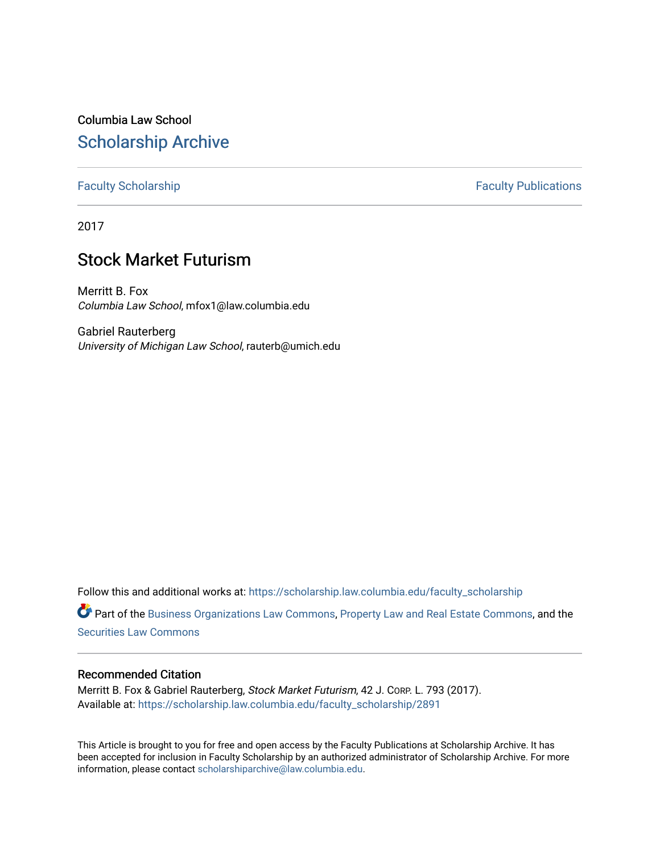Columbia Law School [Scholarship Archive](https://scholarship.law.columbia.edu/) 

[Faculty Scholarship](https://scholarship.law.columbia.edu/faculty_scholarship) **Faculty Scholarship Faculty Publications** 

2017

# Stock Market Futurism

Merritt B. Fox Columbia Law School, mfox1@law.columbia.edu

Gabriel Rauterberg University of Michigan Law School, rauterb@umich.edu

Follow this and additional works at: [https://scholarship.law.columbia.edu/faculty\\_scholarship](https://scholarship.law.columbia.edu/faculty_scholarship?utm_source=scholarship.law.columbia.edu%2Ffaculty_scholarship%2F2891&utm_medium=PDF&utm_campaign=PDFCoverPages)

Part of the [Business Organizations Law Commons](http://network.bepress.com/hgg/discipline/900?utm_source=scholarship.law.columbia.edu%2Ffaculty_scholarship%2F2891&utm_medium=PDF&utm_campaign=PDFCoverPages), [Property Law and Real Estate Commons](http://network.bepress.com/hgg/discipline/897?utm_source=scholarship.law.columbia.edu%2Ffaculty_scholarship%2F2891&utm_medium=PDF&utm_campaign=PDFCoverPages), and the [Securities Law Commons](http://network.bepress.com/hgg/discipline/619?utm_source=scholarship.law.columbia.edu%2Ffaculty_scholarship%2F2891&utm_medium=PDF&utm_campaign=PDFCoverPages)

## Recommended Citation

Merritt B. Fox & Gabriel Rauterberg, Stock Market Futurism, 42 J. Corp. L. 793 (2017). Available at: [https://scholarship.law.columbia.edu/faculty\\_scholarship/2891](https://scholarship.law.columbia.edu/faculty_scholarship/2891?utm_source=scholarship.law.columbia.edu%2Ffaculty_scholarship%2F2891&utm_medium=PDF&utm_campaign=PDFCoverPages)

This Article is brought to you for free and open access by the Faculty Publications at Scholarship Archive. It has been accepted for inclusion in Faculty Scholarship by an authorized administrator of Scholarship Archive. For more information, please contact [scholarshiparchive@law.columbia.edu.](mailto:scholarshiparchive@law.columbia.edu)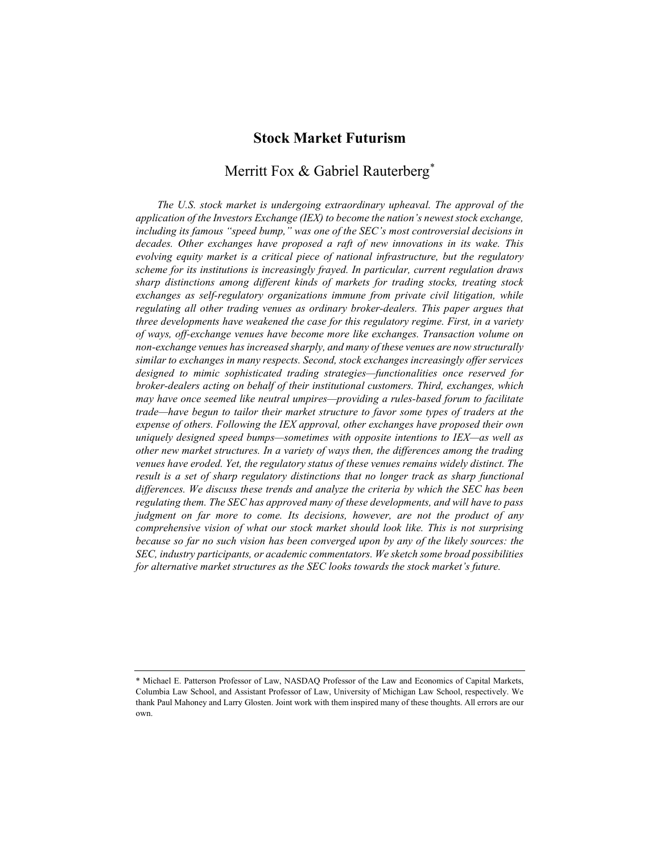# Stock Market Futurism

# Merritt Fox & Gabriel Rauterberg<sup>\*</sup>

The U.S. stock market is undergoing extraordinary upheaval. The approval of the application of the Investors Exchange (IEX) to become the nation's newest stock exchange, including its famous "speed bump," was one of the SEC's most controversial decisions in decades. Other exchanges have proposed a raft of new innovations in its wake. This evolving equity market is a critical piece of national infrastructure, but the regulatory scheme for its institutions is increasingly frayed. In particular, current regulation draws sharp distinctions among different kinds of markets for trading stocks, treating stock exchanges as self-regulatory organizations immune from private civil litigation, while regulating all other trading venues as ordinary broker-dealers. This paper argues that three developments have weakened the case for this regulatory regime. First, in a variety of ways, off-exchange venues have become more like exchanges. Transaction volume on non-exchange venues has increased sharply, and many of these venues are now structurally similar to exchanges in many respects. Second, stock exchanges increasingly offer services designed to mimic sophisticated trading strategies—functionalities once reserved for broker-dealers acting on behalf of their institutional customers. Third, exchanges, which may have once seemed like neutral umpires—providing a rules-based forum to facilitate trade—have begun to tailor their market structure to favor some types of traders at the expense of others. Following the IEX approval, other exchanges have proposed their own uniquely designed speed bumps—sometimes with opposite intentions to IEX—as well as other new market structures. In a variety of ways then, the differences among the trading venues have eroded. Yet, the regulatory status of these venues remains widely distinct. The result is a set of sharp regulatory distinctions that no longer track as sharp functional differences. We discuss these trends and analyze the criteria by which the SEC has been regulating them. The SEC has approved many of these developments, and will have to pass judgment on far more to come. Its decisions, however, are not the product of any comprehensive vision of what our stock market should look like. This is not surprising because so far no such vision has been converged upon by any of the likely sources: the SEC, industry participants, or academic commentators. We sketch some broad possibilities for alternative market structures as the SEC looks towards the stock market's future.

<sup>\*</sup> Michael E. Patterson Professor of Law, NASDAQ Professor of the Law and Economics of Capital Markets, Columbia Law School, and Assistant Professor of Law, University of Michigan Law School, respectively. We thank Paul Mahoney and Larry Glosten. Joint work with them inspired many of these thoughts. All errors are our own.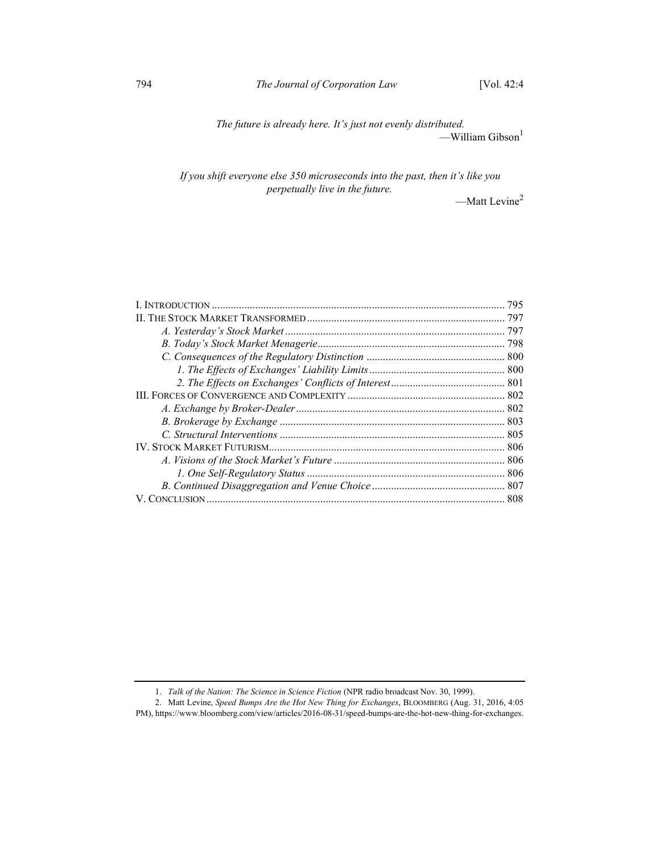The future is already here. It's just not evenly distributed. —William Gibson $^1$ 

If you shift everyone else 350 microseconds into the past, then it's like you perpetually live in the future.

—Matt Levine<sup>2</sup>

| 795 |
|-----|
|     |
|     |
|     |
|     |
|     |
|     |
|     |
|     |
|     |
|     |
|     |
|     |
|     |
|     |
|     |

 <sup>1.</sup> Talk of the Nation: The Science in Science Fiction (NPR radio broadcast Nov. 30, 1999).

 <sup>2.</sup> Matt Levine, Speed Bumps Are the Hot New Thing for Exchanges, BLOOMBERG (Aug. 31, 2016, 4:05

PM), https://www.bloomberg.com/view/articles/2016-08-31/speed-bumps-are-the-hot-new-thing-for-exchanges.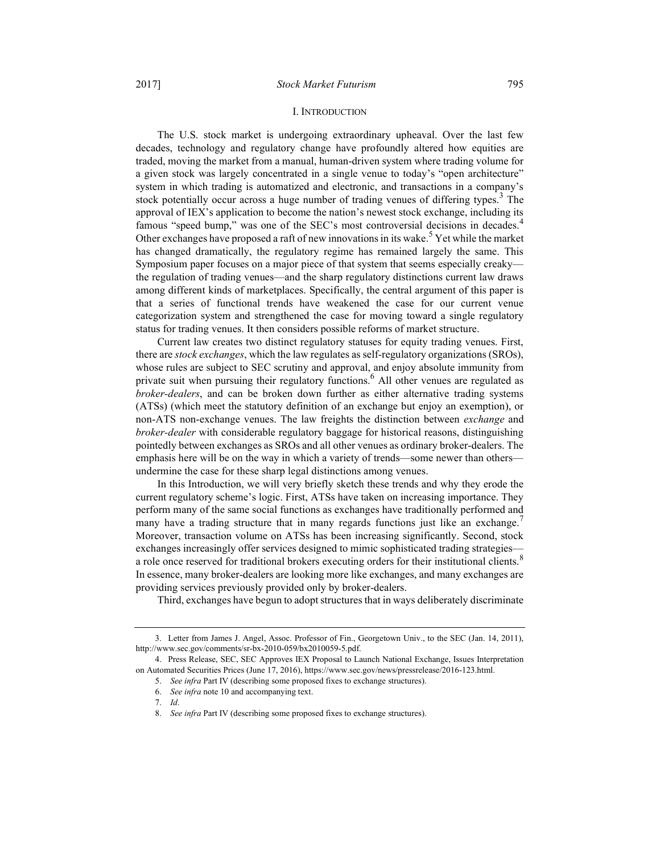#### I. INTRODUCTION

The U.S. stock market is undergoing extraordinary upheaval. Over the last few decades, technology and regulatory change have profoundly altered how equities are traded, moving the market from a manual, human-driven system where trading volume for a given stock was largely concentrated in a single venue to today's "open architecture" system in which trading is automatized and electronic, and transactions in a company's stock potentially occur across a huge number of trading venues of differing types.<sup>3</sup> The approval of IEX's application to become the nation's newest stock exchange, including its famous "speed bump," was one of the SEC's most controversial decisions in decades.<sup>4</sup> Other exchanges have proposed a raft of new innovations in its wake.<sup>5</sup> Yet while the market has changed dramatically, the regulatory regime has remained largely the same. This Symposium paper focuses on a major piece of that system that seems especially creaky the regulation of trading venues—and the sharp regulatory distinctions current law draws among different kinds of marketplaces. Specifically, the central argument of this paper is that a series of functional trends have weakened the case for our current venue categorization system and strengthened the case for moving toward a single regulatory status for trading venues. It then considers possible reforms of market structure.

Current law creates two distinct regulatory statuses for equity trading venues. First, there are *stock exchanges*, which the law regulates as self-regulatory organizations (SROs), whose rules are subject to SEC scrutiny and approval, and enjoy absolute immunity from private suit when pursuing their regulatory functions.<sup>6</sup> All other venues are regulated as broker-dealers, and can be broken down further as either alternative trading systems (ATSs) (which meet the statutory definition of an exchange but enjoy an exemption), or non-ATS non-exchange venues. The law freights the distinction between *exchange* and broker-dealer with considerable regulatory baggage for historical reasons, distinguishing pointedly between exchanges as SROs and all other venues as ordinary broker-dealers. The emphasis here will be on the way in which a variety of trends—some newer than others undermine the case for these sharp legal distinctions among venues.

In this Introduction, we will very briefly sketch these trends and why they erode the current regulatory scheme's logic. First, ATSs have taken on increasing importance. They perform many of the same social functions as exchanges have traditionally performed and many have a trading structure that in many regards functions just like an exchange. Moreover, transaction volume on ATSs has been increasing significantly. Second, stock exchanges increasingly offer services designed to mimic sophisticated trading strategies a role once reserved for traditional brokers executing orders for their institutional clients.<sup>8</sup> In essence, many broker-dealers are looking more like exchanges, and many exchanges are providing services previously provided only by broker-dealers.

Third, exchanges have begun to adopt structures that in ways deliberately discriminate

 <sup>3.</sup> Letter from James J. Angel, Assoc. Professor of Fin., Georgetown Univ., to the SEC (Jan. 14, 2011), http://www.sec.gov/comments/sr-bx-2010-059/bx2010059-5.pdf.

 <sup>4.</sup> Press Release, SEC, SEC Approves IEX Proposal to Launch National Exchange, Issues Interpretation on Automated Securities Prices (June 17, 2016), https://www.sec.gov/news/pressrelease/2016-123.html.

 <sup>5.</sup> See infra Part IV (describing some proposed fixes to exchange structures).

 <sup>6.</sup> See infra note 10 and accompanying text.

 <sup>7.</sup> Id.

 <sup>8.</sup> See infra Part IV (describing some proposed fixes to exchange structures).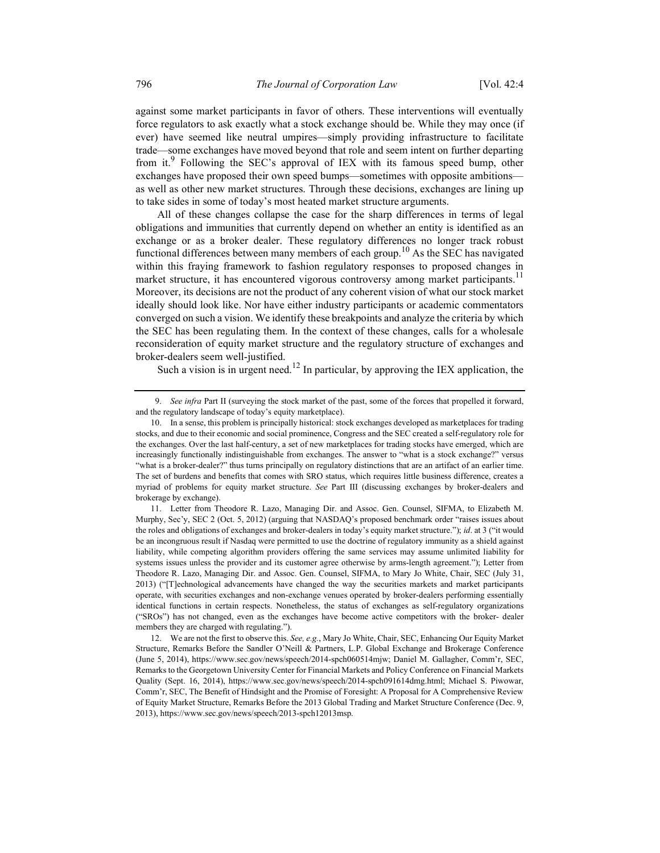against some market participants in favor of others. These interventions will eventually force regulators to ask exactly what a stock exchange should be. While they may once (if ever) have seemed like neutral umpires—simply providing infrastructure to facilitate trade—some exchanges have moved beyond that role and seem intent on further departing from it.<sup>9</sup> Following the SEC's approval of IEX with its famous speed bump, other exchanges have proposed their own speed bumps—sometimes with opposite ambitions as well as other new market structures. Through these decisions, exchanges are lining up to take sides in some of today's most heated market structure arguments.

All of these changes collapse the case for the sharp differences in terms of legal obligations and immunities that currently depend on whether an entity is identified as an exchange or as a broker dealer. These regulatory differences no longer track robust functional differences between many members of each group.<sup>10</sup> As the SEC has navigated within this fraying framework to fashion regulatory responses to proposed changes in market structure, it has encountered vigorous controversy among market participants.<sup>11</sup> Moreover, its decisions are not the product of any coherent vision of what our stock market ideally should look like. Nor have either industry participants or academic commentators converged on such a vision. We identify these breakpoints and analyze the criteria by which the SEC has been regulating them. In the context of these changes, calls for a wholesale reconsideration of equity market structure and the regulatory structure of exchanges and broker-dealers seem well-justified.

Such a vision is in urgent need.<sup>12</sup> In particular, by approving the IEX application, the

 11. Letter from Theodore R. Lazo, Managing Dir. and Assoc. Gen. Counsel, SIFMA, to Elizabeth M. Murphy, Sec'y, SEC 2 (Oct. 5, 2012) (arguing that NASDAQ's proposed benchmark order "raises issues about the roles and obligations of exchanges and broker-dealers in today's equity market structure."); id. at 3 ("it would be an incongruous result if Nasdaq were permitted to use the doctrine of regulatory immunity as a shield against liability, while competing algorithm providers offering the same services may assume unlimited liability for systems issues unless the provider and its customer agree otherwise by arms-length agreement."); Letter from Theodore R. Lazo, Managing Dir. and Assoc. Gen. Counsel, SIFMA, to Mary Jo White, Chair, SEC (July 31, 2013) ("[T]echnological advancements have changed the way the securities markets and market participants operate, with securities exchanges and non-exchange venues operated by broker-dealers performing essentially identical functions in certain respects. Nonetheless, the status of exchanges as self-regulatory organizations ("SROs") has not changed, even as the exchanges have become active competitors with the broker- dealer members they are charged with regulating.").

<sup>9.</sup> See infra Part II (surveying the stock market of the past, some of the forces that propelled it forward, and the regulatory landscape of today's equity marketplace).

 <sup>10.</sup> In a sense, this problem is principally historical: stock exchanges developed as marketplaces for trading stocks, and due to their economic and social prominence, Congress and the SEC created a self-regulatory role for the exchanges. Over the last half-century, a set of new marketplaces for trading stocks have emerged, which are increasingly functionally indistinguishable from exchanges. The answer to "what is a stock exchange?" versus "what is a broker-dealer?" thus turns principally on regulatory distinctions that are an artifact of an earlier time. The set of burdens and benefits that comes with SRO status, which requires little business difference, creates a myriad of problems for equity market structure. See Part III (discussing exchanges by broker-dealers and brokerage by exchange).

 <sup>12.</sup> We are not the first to observe this. See, e.g., Mary Jo White, Chair, SEC, Enhancing Our Equity Market Structure, Remarks Before the Sandler O'Neill & Partners, L.P. Global Exchange and Brokerage Conference (June 5, 2014), https://www.sec.gov/news/speech/2014-spch060514mjw; Daniel M. Gallagher, Comm'r, SEC, Remarks to the Georgetown University Center for Financial Markets and Policy Conference on Financial Markets Quality (Sept. 16, 2014), https://www.sec.gov/news/speech/2014-spch091614dmg.html; Michael S. Piwowar, Comm'r, SEC, The Benefit of Hindsight and the Promise of Foresight: A Proposal for A Comprehensive Review of Equity Market Structure, Remarks Before the 2013 Global Trading and Market Structure Conference (Dec. 9, 2013), https://www.sec.gov/news/speech/2013-spch12013msp.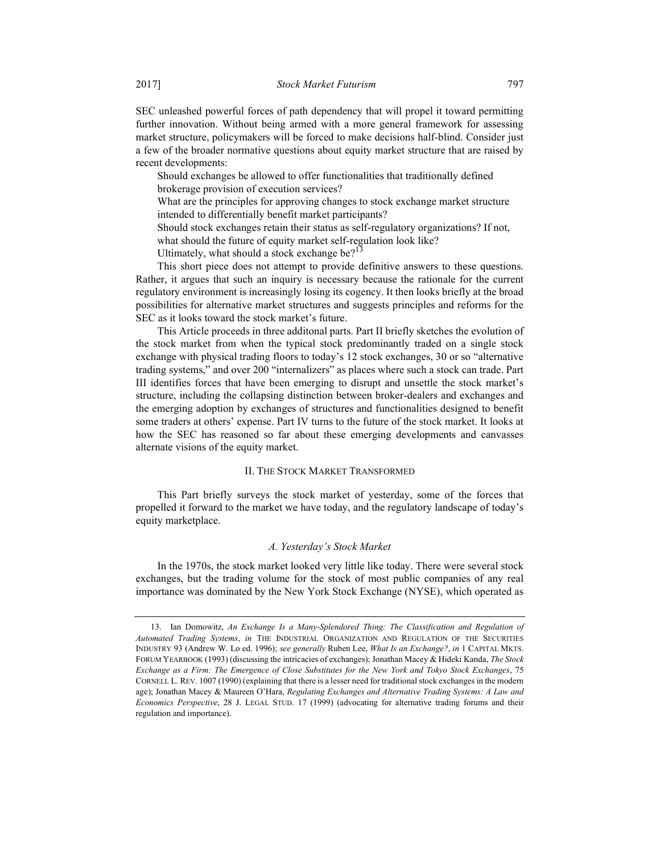SEC unleashed powerful forces of path dependency that will propel it toward permitting further innovation. Without being armed with a more general framework for assessing market structure, policymakers will be forced to make decisions half-blind. Consider just a few of the broader normative questions about equity market structure that are raised by recent developments:

Should exchanges be allowed to offer functionalities that traditionally defined brokerage provision of execution services?

What are the principles for approving changes to stock exchange market structure intended to differentially benefit market participants?

Should stock exchanges retain their status as self-regulatory organizations? If not, what should the future of equity market self-regulation look like?

Ultimately, what should a stock exchange be? $13$ 

This short piece does not attempt to provide definitive answers to these questions. Rather, it argues that such an inquiry is necessary because the rationale for the current regulatory environment is increasingly losing its cogency. It then looks briefly at the broad possibilities for alternative market structures and suggests principles and reforms for the SEC as it looks toward the stock market's future.

This Article proceeds in three additonal parts. Part II briefly sketches the evolution of the stock market from when the typical stock predominantly traded on a single stock exchange with physical trading floors to today's 12 stock exchanges, 30 or so "alternative trading systems," and over 200 "internalizers" as places where such a stock can trade. Part III identifies forces that have been emerging to disrupt and unsettle the stock market's structure, including the collapsing distinction between broker-dealers and exchanges and the emerging adoption by exchanges of structures and functionalities designed to benefit some traders at others' expense. Part IV turns to the future of the stock market. It looks at how the SEC has reasoned so far about these emerging developments and canvasses alternate visions of the equity market.

#### II. THE STOCK MARKET TRANSFORMED

This Part briefly surveys the stock market of yesterday, some of the forces that propelled it forward to the market we have today, and the regulatory landscape of today's equity marketplace.

#### A. Yesterday's Stock Market

In the 1970s, the stock market looked very little like today. There were several stock exchanges, but the trading volume for the stock of most public companies of any real importance was dominated by the New York Stock Exchange (NYSE), which operated as

 <sup>13.</sup> Ian Domowitz, An Exchange Is a Many-Splendored Thing: The Classification and Regulation of Automated Trading Systems, in THE INDUSTRIAL ORGANIZATION AND REGULATION OF THE SECURITIES INDUSTRY 93 (Andrew W. Lo ed. 1996); see generally Ruben Lee, What Is an Exchange?, in 1 CAPITAL MKTS. FORUM YEARBOOK (1993) (discussing the intricacies of exchanges); Jonathan Macey & Hideki Kanda, The Stock Exchange as a Firm: The Emergence of Close Substitutes for the New York and Tokyo Stock Exchanges, 75 CORNELL L. REV. 1007 (1990) (explaining that there is a lesser need for traditional stock exchanges in the modern age); Jonathan Macey & Maureen O'Hara, Regulating Exchanges and Alternative Trading Systems: A Law and Economics Perspective, 28 J. LEGAL STUD. 17 (1999) (advocating for alternative trading forums and their regulation and importance).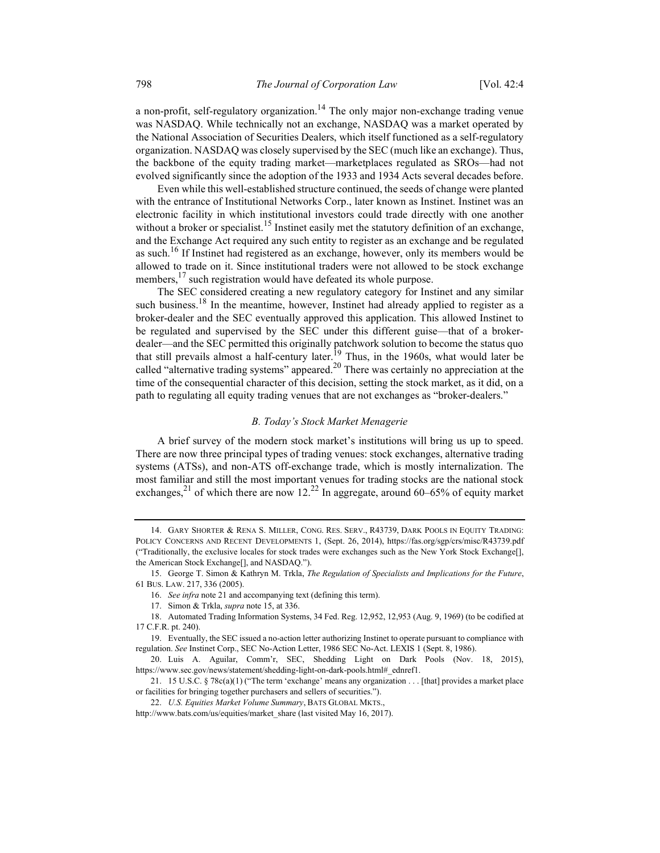a non-profit, self-regulatory organization.<sup>14</sup> The only major non-exchange trading venue was NASDAQ. While technically not an exchange, NASDAQ was a market operated by the National Association of Securities Dealers, which itself functioned as a self-regulatory organization. NASDAQ was closely supervised by the SEC (much like an exchange). Thus, the backbone of the equity trading market—marketplaces regulated as SROs—had not evolved significantly since the adoption of the 1933 and 1934 Acts several decades before.

Even while this well-established structure continued, the seeds of change were planted with the entrance of Institutional Networks Corp., later known as Instinet. Instinet was an electronic facility in which institutional investors could trade directly with one another without a broker or specialist.<sup>15</sup> Instinet easily met the statutory definition of an exchange, and the Exchange Act required any such entity to register as an exchange and be regulated as such.<sup>16</sup> If Instinet had registered as an exchange, however, only its members would be allowed to trade on it. Since institutional traders were not allowed to be stock exchange members,  $17$  such registration would have defeated its whole purpose.

The SEC considered creating a new regulatory category for Instinet and any similar such business.<sup>18</sup> In the meantime, however, Instinet had already applied to register as a broker-dealer and the SEC eventually approved this application. This allowed Instinet to be regulated and supervised by the SEC under this different guise—that of a brokerdealer—and the SEC permitted this originally patchwork solution to become the status quo that still prevails almost a half-century later.<sup>19</sup> Thus, in the 1960s, what would later be called "alternative trading systems" appeared. $^{20}$  There was certainly no appreciation at the time of the consequential character of this decision, setting the stock market, as it did, on a path to regulating all equity trading venues that are not exchanges as "broker-dealers."

#### B. Today's Stock Market Menagerie

A brief survey of the modern stock market's institutions will bring us up to speed. There are now three principal types of trading venues: stock exchanges, alternative trading systems (ATSs), and non-ATS off-exchange trade, which is mostly internalization. The most familiar and still the most important venues for trading stocks are the national stock exchanges,<sup>21</sup> of which there are now 12.<sup>22</sup> In aggregate, around 60–65% of equity market

 <sup>14.</sup> GARY SHORTER & RENA S. MILLER, CONG. RES. SERV., R43739, DARK POOLS IN EQUITY TRADING: POLICY CONCERNS AND RECENT DEVELOPMENTS 1, (Sept. 26, 2014), https://fas.org/sgp/crs/misc/R43739.pdf ("Traditionally, the exclusive locales for stock trades were exchanges such as the New York Stock Exchange[], the American Stock Exchange[], and NASDAQ.").

<sup>15.</sup> George T. Simon & Kathryn M. Trkla, The Regulation of Specialists and Implications for the Future, 61 BUS. LAW. 217, 336 (2005).

 <sup>16.</sup> See infra note 21 and accompanying text (defining this term).

<sup>17.</sup> Simon & Trkla, supra note 15, at 336.

 <sup>18.</sup> Automated Trading Information Systems, 34 Fed. Reg. 12,952, 12,953 (Aug. 9, 1969) (to be codified at 17 C.F.R. pt. 240).

 <sup>19.</sup> Eventually, the SEC issued a no-action letter authorizing Instinet to operate pursuant to compliance with regulation. See Instinet Corp., SEC No-Action Letter, 1986 SEC No-Act. LEXIS 1 (Sept. 8, 1986).

 <sup>20.</sup> Luis A. Aguilar, Comm'r, SEC, Shedding Light on Dark Pools (Nov. 18, 2015), https://www.sec.gov/news/statement/shedding-light-on-dark-pools.html#\_ednref1.

 <sup>21. 15</sup> U.S.C. § 78c(a)(1) ("The term 'exchange' means any organization . . . [that] provides a market place or facilities for bringing together purchasers and sellers of securities.").

<sup>22.</sup> U.S. Equities Market Volume Summary, BATS GLOBAL MKTS.,

http://www.bats.com/us/equities/market\_share (last visited May 16, 2017).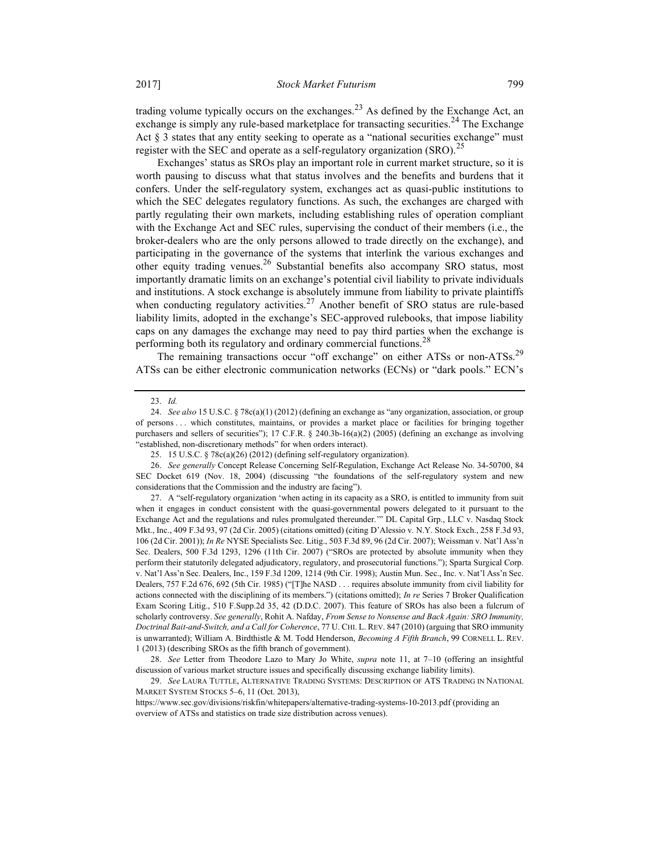trading volume typically occurs on the exchanges.<sup>23</sup> As defined by the Exchange Act, an exchange is simply any rule-based marketplace for transacting securities.<sup>24</sup> The Exchange Act  $\S$  3 states that any entity seeking to operate as a "national securities exchange" must register with the SEC and operate as a self-regulatory organization  $(SRO)$ .<sup>25</sup>

Exchanges' status as SROs play an important role in current market structure, so it is worth pausing to discuss what that status involves and the benefits and burdens that it confers. Under the self-regulatory system, exchanges act as quasi-public institutions to which the SEC delegates regulatory functions. As such, the exchanges are charged with partly regulating their own markets, including establishing rules of operation compliant with the Exchange Act and SEC rules, supervising the conduct of their members (i.e., the broker-dealers who are the only persons allowed to trade directly on the exchange), and participating in the governance of the systems that interlink the various exchanges and other equity trading venues.<sup>26</sup> Substantial benefits also accompany SRO status, most importantly dramatic limits on an exchange's potential civil liability to private individuals and institutions. A stock exchange is absolutely immune from liability to private plaintiffs when conducting regulatory activities.<sup>27</sup> Another benefit of SRO status are rule-based liability limits, adopted in the exchange's SEC-approved rulebooks, that impose liability caps on any damages the exchange may need to pay third parties when the exchange is performing both its regulatory and ordinary commercial functions.<sup>28</sup>

The remaining transactions occur "off exchange" on either ATSs or non-ATSs.<sup>29</sup> ATSs can be either electronic communication networks (ECNs) or "dark pools." ECN's

 <sup>23.</sup> Id.

 <sup>24.</sup> See also 15 U.S.C. § 78c(a)(1) (2012) (defining an exchange as "any organization, association, or group of persons . . . which constitutes, maintains, or provides a market place or facilities for bringing together purchasers and sellers of securities"); 17 C.F.R. § 240.3b-16(a)(2) (2005) (defining an exchange as involving "established, non-discretionary methods" for when orders interact).

 <sup>25. 15</sup> U.S.C. § 78c(a)(26) (2012) (defining self-regulatory organization).

 <sup>26.</sup> See generally Concept Release Concerning Self-Regulation, Exchange Act Release No. 34-50700, 84 SEC Docket 619 (Nov. 18, 2004) (discussing "the foundations of the self-regulatory system and new considerations that the Commission and the industry are facing").

 <sup>27.</sup> A "self-regulatory organization 'when acting in its capacity as a SRO, is entitled to immunity from suit when it engages in conduct consistent with the quasi-governmental powers delegated to it pursuant to the Exchange Act and the regulations and rules promulgated thereunder.'" DL Capital Grp., LLC v. Nasdaq Stock Mkt., Inc., 409 F.3d 93, 97 (2d Cir. 2005) (citations omitted) (citing D'Alessio v. N.Y. Stock Exch., 258 F.3d 93, 106 (2d Cir. 2001)); In Re NYSE Specialists Sec. Litig., 503 F.3d 89, 96 (2d Cir. 2007); Weissman v. Nat'l Ass'n Sec. Dealers, 500 F.3d 1293, 1296 (11th Cir. 2007) ("SROs are protected by absolute immunity when they perform their statutorily delegated adjudicatory, regulatory, and prosecutorial functions."); Sparta Surgical Corp. v. Nat'l Ass'n Sec. Dealers, Inc., 159 F.3d 1209, 1214 (9th Cir. 1998); Austin Mun. Sec., Inc. v. Nat'l Ass'n Sec. Dealers, 757 F.2d 676, 692 (5th Cir. 1985) ("[T]he NASD . . . requires absolute immunity from civil liability for actions connected with the disciplining of its members.") (citations omitted); In re Series 7 Broker Qualification Exam Scoring Litig., 510 F.Supp.2d 35, 42 (D.D.C. 2007). This feature of SROs has also been a fulcrum of scholarly controversy. See generally, Rohit A. Nafday, From Sense to Nonsense and Back Again: SRO Immunity, Doctrinal Bait-and-Switch, and a Call for Coherence, 77 U. CHI. L. REV. 847 (2010) (arguing that SRO immunity is unwarranted); William A. Birdthistle & M. Todd Henderson, Becoming A Fifth Branch, 99 CORNELL L. REV. 1 (2013) (describing SROs as the fifth branch of government).

 <sup>28.</sup> See Letter from Theodore Lazo to Mary Jo White, supra note 11, at 7–10 (offering an insightful discussion of various market structure issues and specifically discussing exchange liability limits).

 <sup>29.</sup> See LAURA TUTTLE, ALTERNATIVE TRADING SYSTEMS: DESCRIPTION OF ATS TRADING IN NATIONAL MARKET SYSTEM STOCKS 5–6, 11 (Oct. 2013),

https://www.sec.gov/divisions/riskfin/whitepapers/alternative-trading-systems-10-2013.pdf (providing an overview of ATSs and statistics on trade size distribution across venues).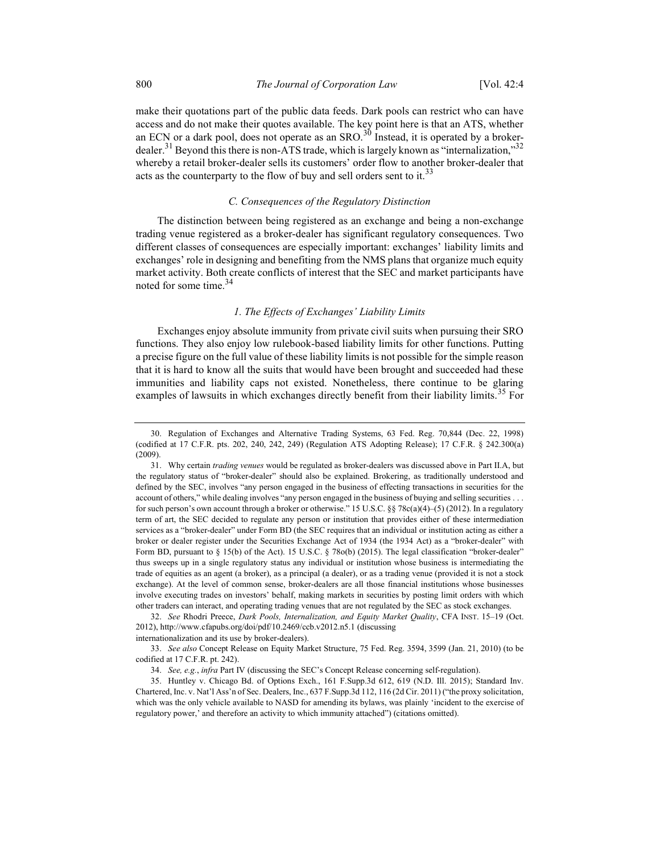make their quotations part of the public data feeds. Dark pools can restrict who can have access and do not make their quotes available. The key point here is that an ATS, whether an ECN or a dark pool, does not operate as an SRO.<sup>30</sup> Instead, it is operated by a brokerdealer.<sup>31</sup> Beyond this there is non-ATS trade, which is largely known as "internalization,"<sup>32</sup> whereby a retail broker-dealer sells its customers' order flow to another broker-dealer that acts as the counterparty to the flow of buy and sell orders sent to it.<sup>33</sup>

#### C. Consequences of the Regulatory Distinction

The distinction between being registered as an exchange and being a non-exchange trading venue registered as a broker-dealer has significant regulatory consequences. Two different classes of consequences are especially important: exchanges' liability limits and exchanges' role in designing and benefiting from the NMS plans that organize much equity market activity. Both create conflicts of interest that the SEC and market participants have noted for some time.<sup>34</sup>

#### 1. The Effects of Exchanges' Liability Limits

Exchanges enjoy absolute immunity from private civil suits when pursuing their SRO functions. They also enjoy low rulebook-based liability limits for other functions. Putting a precise figure on the full value of these liability limits is not possible for the simple reason that it is hard to know all the suits that would have been brought and succeeded had these immunities and liability caps not existed. Nonetheless, there continue to be glaring examples of lawsuits in which exchanges directly benefit from their liability limits.<sup>35</sup> For

 32. See Rhodri Preece, Dark Pools, Internalization, and Equity Market Quality, CFA INST. 15–19 (Oct. 2012), http://www.cfapubs.org/doi/pdf/10.2469/ccb.v2012.n5.1 (discussing internationalization and its use by broker-dealers).

 33. See also Concept Release on Equity Market Structure, 75 Fed. Reg. 3594, 3599 (Jan. 21, 2010) (to be codified at 17 C.F.R. pt. 242).

 <sup>30.</sup> Regulation of Exchanges and Alternative Trading Systems, 63 Fed. Reg. 70,844 (Dec. 22, 1998) (codified at 17 C.F.R. pts. 202, 240, 242, 249) (Regulation ATS Adopting Release); 17 C.F.R. § 242.300(a) (2009).

 <sup>31.</sup> Why certain trading venues would be regulated as broker-dealers was discussed above in Part II.A, but the regulatory status of "broker-dealer" should also be explained. Brokering, as traditionally understood and defined by the SEC, involves "any person engaged in the business of effecting transactions in securities for the account of others," while dealing involves "any person engaged in the business of buying and selling securities . . . for such person's own account through a broker or otherwise." 15 U.S.C. §§ 78c(a)(4)–(5) (2012). In a regulatory term of art, the SEC decided to regulate any person or institution that provides either of these intermediation services as a "broker-dealer" under Form BD (the SEC requires that an individual or institution acting as either a broker or dealer register under the Securities Exchange Act of 1934 (the 1934 Act) as a "broker-dealer" with Form BD, pursuant to § 15(b) of the Act). 15 U.S.C. § 78o(b) (2015). The legal classification "broker-dealer" thus sweeps up in a single regulatory status any individual or institution whose business is intermediating the trade of equities as an agent (a broker), as a principal (a dealer), or as a trading venue (provided it is not a stock exchange). At the level of common sense, broker-dealers are all those financial institutions whose businesses involve executing trades on investors' behalf, making markets in securities by posting limit orders with which other traders can interact, and operating trading venues that are not regulated by the SEC as stock exchanges.

 <sup>34.</sup> See, e.g., infra Part IV (discussing the SEC's Concept Release concerning self-regulation).

 <sup>35.</sup> Huntley v. Chicago Bd. of Options Exch., 161 F.Supp.3d 612, 619 (N.D. Ill. 2015); Standard Inv. Chartered, Inc. v. Nat'l Ass'n of Sec. Dealers, Inc., 637 F.Supp.3d 112, 116 (2d Cir. 2011) ("the proxy solicitation, which was the only vehicle available to NASD for amending its bylaws, was plainly 'incident to the exercise of regulatory power,' and therefore an activity to which immunity attached") (citations omitted).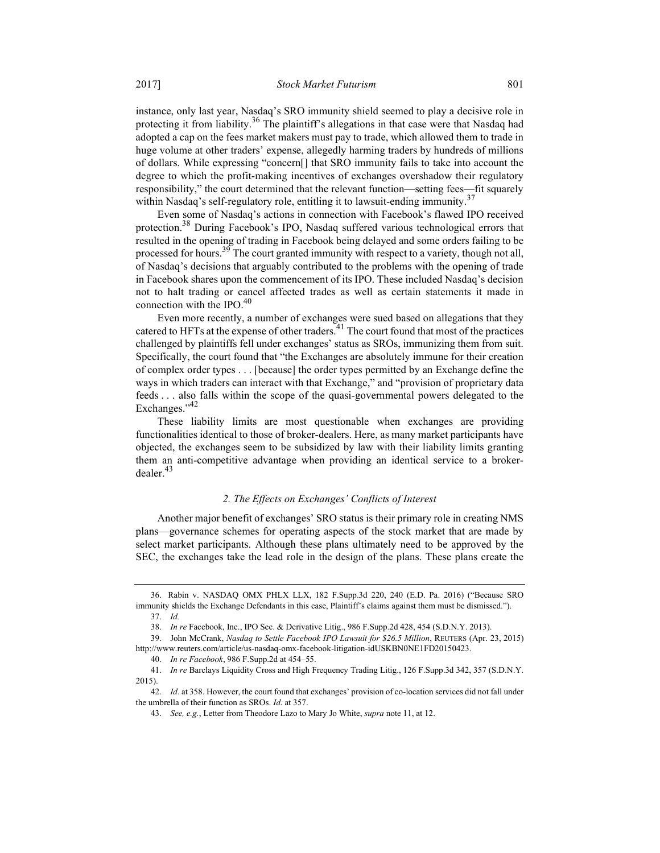instance, only last year, Nasdaq's SRO immunity shield seemed to play a decisive role in protecting it from liability.<sup>36</sup> The plaintiff's allegations in that case were that Nasdaq had adopted a cap on the fees market makers must pay to trade, which allowed them to trade in huge volume at other traders' expense, allegedly harming traders by hundreds of millions of dollars. While expressing "concern[] that SRO immunity fails to take into account the degree to which the profit-making incentives of exchanges overshadow their regulatory responsibility," the court determined that the relevant function—setting fees—fit squarely within Nasdaq's self-regulatory role, entitling it to lawsuit-ending immunity.<sup>37</sup>

Even some of Nasdaq's actions in connection with Facebook's flawed IPO received protection.<sup>38</sup> During Facebook's IPO, Nasdaq suffered various technological errors that resulted in the opening of trading in Facebook being delayed and some orders failing to be processed for hours.<sup>39</sup> The court granted immunity with respect to a variety, though not all, of Nasdaq's decisions that arguably contributed to the problems with the opening of trade in Facebook shares upon the commencement of its IPO. These included Nasdaq's decision not to halt trading or cancel affected trades as well as certain statements it made in connection with the IPO.<sup>40</sup>

Even more recently, a number of exchanges were sued based on allegations that they catered to HFTs at the expense of other traders.<sup>41</sup> The court found that most of the practices challenged by plaintiffs fell under exchanges' status as SROs, immunizing them from suit. Specifically, the court found that "the Exchanges are absolutely immune for their creation of complex order types . . . [because] the order types permitted by an Exchange define the ways in which traders can interact with that Exchange," and "provision of proprietary data feeds . . . also falls within the scope of the quasi-governmental powers delegated to the Exchanges."<sup>42</sup>

These liability limits are most questionable when exchanges are providing functionalities identical to those of broker-dealers. Here, as many market participants have objected, the exchanges seem to be subsidized by law with their liability limits granting them an anti-competitive advantage when providing an identical service to a brokerdealer.<sup>43</sup>

#### 2. The Effects on Exchanges' Conflicts of Interest

Another major benefit of exchanges' SRO status is their primary role in creating NMS plans—governance schemes for operating aspects of the stock market that are made by select market participants. Although these plans ultimately need to be approved by the SEC, the exchanges take the lead role in the design of the plans. These plans create the

 <sup>36.</sup> Rabin v. NASDAQ OMX PHLX LLX, 182 F.Supp.3d 220, 240 (E.D. Pa. 2016) ("Because SRO immunity shields the Exchange Defendants in this case, Plaintiff's claims against them must be dismissed.").

 <sup>37.</sup> Id.

 <sup>38.</sup> In re Facebook, Inc., IPO Sec. & Derivative Litig., 986 F.Supp.2d 428, 454 (S.D.N.Y. 2013).

 <sup>39.</sup> John McCrank, Nasdaq to Settle Facebook IPO Lawsuit for \$26.5 Million, REUTERS (Apr. 23, 2015) http://www.reuters.com/article/us-nasdaq-omx-facebook-litigation-idUSKBN0NE1FD20150423.

 <sup>40.</sup> In re Facebook, 986 F.Supp.2d at 454–55.

 <sup>41.</sup> In re Barclays Liquidity Cross and High Frequency Trading Litig., 126 F.Supp.3d 342, 357 (S.D.N.Y. 2015).

 <sup>42.</sup> Id. at 358. However, the court found that exchanges' provision of co-location services did not fall under the umbrella of their function as SROs. Id. at 357.

<sup>43.</sup> See, e.g., Letter from Theodore Lazo to Mary Jo White, *supra* note 11, at 12.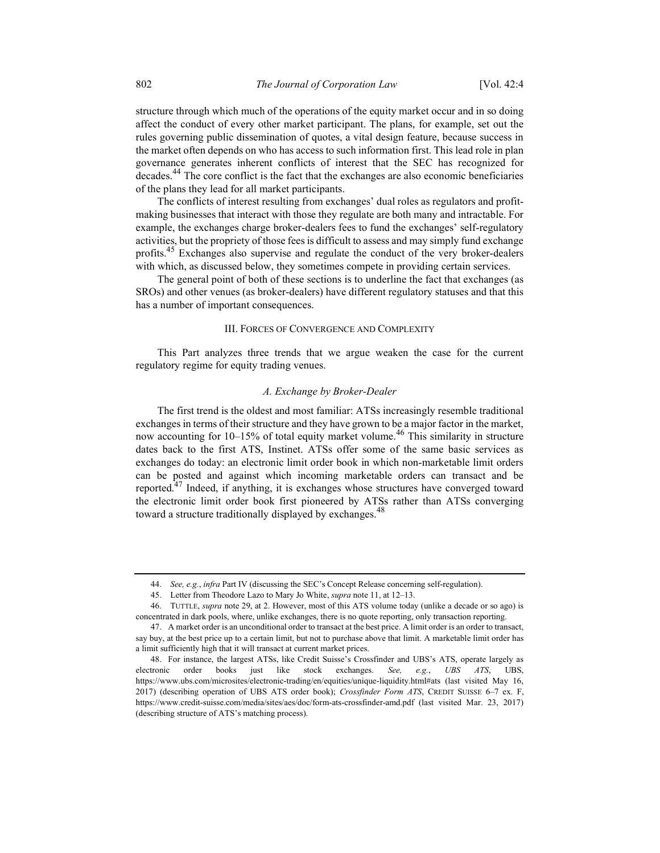structure through which much of the operations of the equity market occur and in so doing affect the conduct of every other market participant. The plans, for example, set out the rules governing public dissemination of quotes, a vital design feature, because success in the market often depends on who has access to such information first. This lead role in plan governance generates inherent conflicts of interest that the SEC has recognized for decades.<sup>44</sup> The core conflict is the fact that the exchanges are also economic beneficiaries of the plans they lead for all market participants.

The conflicts of interest resulting from exchanges' dual roles as regulators and profitmaking businesses that interact with those they regulate are both many and intractable. For example, the exchanges charge broker-dealers fees to fund the exchanges' self-regulatory activities, but the propriety of those fees is difficult to assess and may simply fund exchange profits.<sup>45</sup> Exchanges also supervise and regulate the conduct of the very broker-dealers with which, as discussed below, they sometimes compete in providing certain services.

The general point of both of these sections is to underline the fact that exchanges (as SROs) and other venues (as broker-dealers) have different regulatory statuses and that this has a number of important consequences.

#### III. FORCES OF CONVERGENCE AND COMPLEXITY

This Part analyzes three trends that we argue weaken the case for the current regulatory regime for equity trading venues.

#### A. Exchange by Broker-Dealer

The first trend is the oldest and most familiar: ATSs increasingly resemble traditional exchanges in terms of their structure and they have grown to be a major factor in the market, now accounting for  $10-15%$  of total equity market volume.<sup>46</sup> This similarity in structure dates back to the first ATS, Instinet. ATSs offer some of the same basic services as exchanges do today: an electronic limit order book in which non-marketable limit orders can be posted and against which incoming marketable orders can transact and be reported.<sup>47</sup> Indeed, if anything, it is exchanges whose structures have converged toward the electronic limit order book first pioneered by ATSs rather than ATSs converging toward a structure traditionally displayed by exchanges.<sup>48</sup>

<sup>44.</sup> See, e.g., infra Part IV (discussing the SEC's Concept Release concerning self-regulation).

 <sup>45.</sup> Letter from Theodore Lazo to Mary Jo White, supra note 11, at 12–13.

 <sup>46.</sup> TUTTLE, supra note 29, at 2. However, most of this ATS volume today (unlike a decade or so ago) is concentrated in dark pools, where, unlike exchanges, there is no quote reporting, only transaction reporting.

 <sup>47.</sup> A market order is an unconditional order to transact at the best price. A limit order is an order to transact, say buy, at the best price up to a certain limit, but not to purchase above that limit. A marketable limit order has a limit sufficiently high that it will transact at current market prices.

 <sup>48.</sup> For instance, the largest ATSs, like Credit Suisse's Crossfinder and UBS's ATS, operate largely as electronic order books just like stock exchanges. See, e.g., UBS ATS, UBS, https://www.ubs.com/microsites/electronic-trading/en/equities/unique-liquidity.html#ats (last visited May 16, 2017) (describing operation of UBS ATS order book); Crossfinder Form ATS, CREDIT SUISSE 6-7 ex. F, https://www.credit-suisse.com/media/sites/aes/doc/form-ats-crossfinder-amd.pdf (last visited Mar. 23, 2017) (describing structure of ATS's matching process).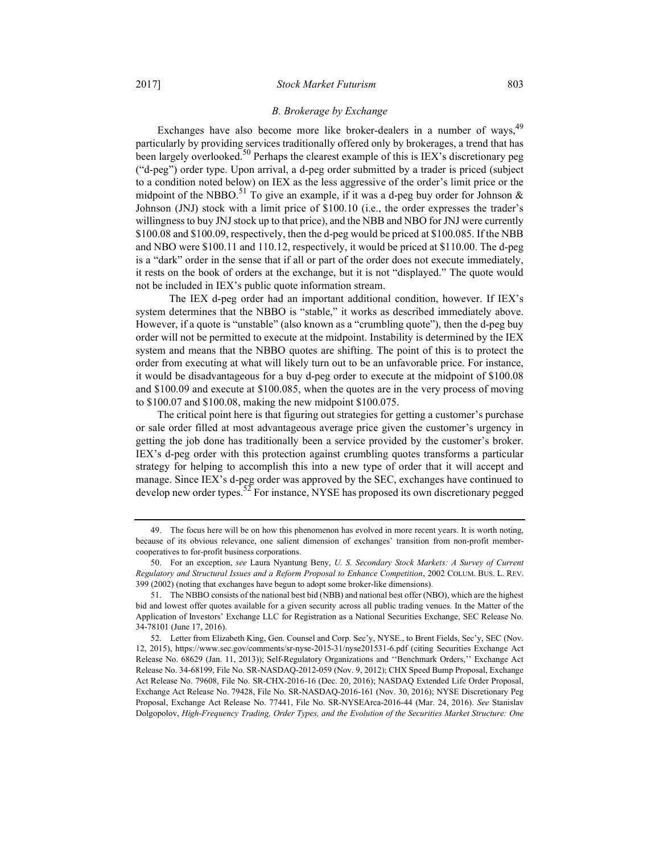#### 2017] Stock Market Futurism 803

#### B. Brokerage by Exchange

Exchanges have also become more like broker-dealers in a number of ways,<sup>49</sup> particularly by providing services traditionally offered only by brokerages, a trend that has been largely overlooked.<sup>50</sup> Perhaps the clearest example of this is IEX's discretionary peg ("d-peg") order type. Upon arrival, a d-peg order submitted by a trader is priced (subject to a condition noted below) on IEX as the less aggressive of the order's limit price or the midpoint of the NBBO.<sup>51</sup> To give an example, if it was a d-peg buy order for Johnson  $\&$ Johnson (JNJ) stock with a limit price of \$100.10 (i.e., the order expresses the trader's willingness to buy JNJ stock up to that price), and the NBB and NBO for JNJ were currently \$100.08 and \$100.09, respectively, then the d-peg would be priced at \$100.085. If the NBB and NBO were \$100.11 and 110.12, respectively, it would be priced at \$110.00. The d-peg is a "dark" order in the sense that if all or part of the order does not execute immediately, it rests on the book of orders at the exchange, but it is not "displayed." The quote would not be included in IEX's public quote information stream.

 The IEX d-peg order had an important additional condition, however. If IEX's system determines that the NBBO is "stable," it works as described immediately above. However, if a quote is "unstable" (also known as a "crumbling quote"), then the d-peg buy order will not be permitted to execute at the midpoint. Instability is determined by the IEX system and means that the NBBO quotes are shifting. The point of this is to protect the order from executing at what will likely turn out to be an unfavorable price. For instance, it would be disadvantageous for a buy d-peg order to execute at the midpoint of \$100.08 and \$100.09 and execute at \$100.085, when the quotes are in the very process of moving to \$100.07 and \$100.08, making the new midpoint \$100.075.

The critical point here is that figuring out strategies for getting a customer's purchase or sale order filled at most advantageous average price given the customer's urgency in getting the job done has traditionally been a service provided by the customer's broker. IEX's d-peg order with this protection against crumbling quotes transforms a particular strategy for helping to accomplish this into a new type of order that it will accept and manage. Since IEX's d-peg order was approved by the SEC, exchanges have continued to develop new order types. $52$  For instance, NYSE has proposed its own discretionary pegged

 <sup>49.</sup> The focus here will be on how this phenomenon has evolved in more recent years. It is worth noting, because of its obvious relevance, one salient dimension of exchanges' transition from non-profit membercooperatives to for-profit business corporations.

 <sup>50.</sup> For an exception, see Laura Nyantung Beny, U. S. Secondary Stock Markets: A Survey of Current Regulatory and Structural Issues and a Reform Proposal to Enhance Competition, 2002 COLUM. BUS. L. REV. 399 (2002) (noting that exchanges have begun to adopt some broker-like dimensions).

 <sup>51.</sup> The NBBO consists of the national best bid (NBB) and national best offer (NBO), which are the highest bid and lowest offer quotes available for a given security across all public trading venues. In the Matter of the Application of Investors' Exchange LLC for Registration as a National Securities Exchange, SEC Release No. 34-78101 (June 17, 2016).

 <sup>52.</sup> Letter from Elizabeth King, Gen. Counsel and Corp. Sec'y, NYSE., to Brent Fields, Sec'y, SEC (Nov. 12, 2015), https://www.sec.gov/comments/sr-nyse-2015-31/nyse201531-6.pdf (citing Securities Exchange Act Release No. 68629 (Jan. 11, 2013)); Self-Regulatory Organizations and ''Benchmark Orders,'' Exchange Act Release No. 34-68199, File No. SR-NASDAQ-2012-059 (Nov. 9, 2012); CHX Speed Bump Proposal, Exchange Act Release No. 79608, File No. SR-CHX-2016-16 (Dec. 20, 2016); NASDAQ Extended Life Order Proposal, Exchange Act Release No. 79428, File No. SR-NASDAQ-2016-161 (Nov. 30, 2016); NYSE Discretionary Peg Proposal, Exchange Act Release No. 77441, File No. SR-NYSEArca-2016-44 (Mar. 24, 2016). See Stanislav Dolgopolov, High-Frequency Trading, Order Types, and the Evolution of the Securities Market Structure: One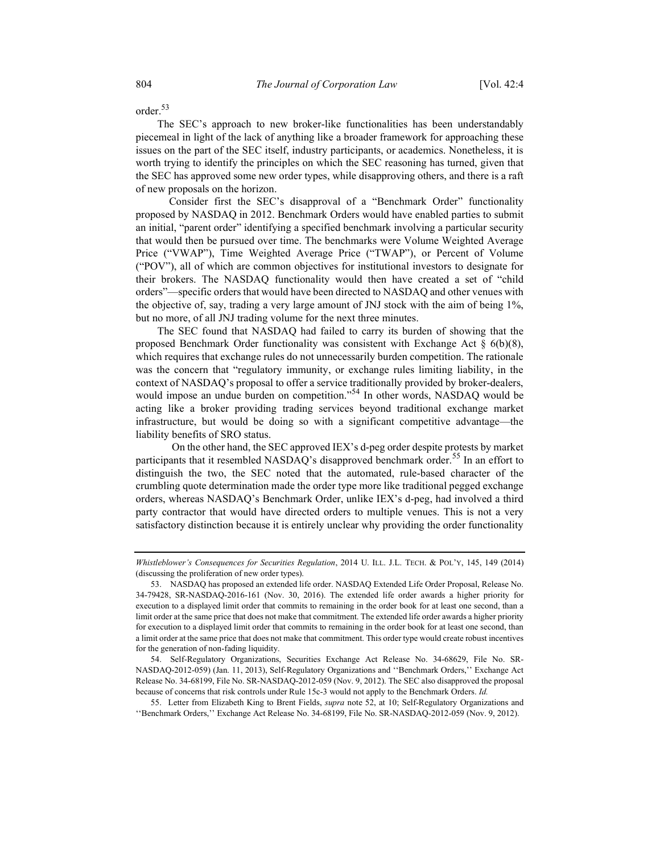order.<sup>53</sup>

The SEC's approach to new broker-like functionalities has been understandably piecemeal in light of the lack of anything like a broader framework for approaching these issues on the part of the SEC itself, industry participants, or academics. Nonetheless, it is worth trying to identify the principles on which the SEC reasoning has turned, given that the SEC has approved some new order types, while disapproving others, and there is a raft of new proposals on the horizon.

 Consider first the SEC's disapproval of a "Benchmark Order" functionality proposed by NASDAQ in 2012. Benchmark Orders would have enabled parties to submit an initial, "parent order" identifying a specified benchmark involving a particular security that would then be pursued over time. The benchmarks were Volume Weighted Average Price ("VWAP"), Time Weighted Average Price ("TWAP"), or Percent of Volume ("POV"), all of which are common objectives for institutional investors to designate for their brokers. The NASDAQ functionality would then have created a set of "child orders"—specific orders that would have been directed to NASDAQ and other venues with the objective of, say, trading a very large amount of JNJ stock with the aim of being 1%, but no more, of all JNJ trading volume for the next three minutes.

The SEC found that NASDAQ had failed to carry its burden of showing that the proposed Benchmark Order functionality was consistent with Exchange Act  $\S$  6(b)(8), which requires that exchange rules do not unnecessarily burden competition. The rationale was the concern that "regulatory immunity, or exchange rules limiting liability, in the context of NASDAQ's proposal to offer a service traditionally provided by broker-dealers, would impose an undue burden on competition."<sup>54</sup> In other words, NASDAQ would be acting like a broker providing trading services beyond traditional exchange market infrastructure, but would be doing so with a significant competitive advantage—the liability benefits of SRO status.

 On the other hand, the SEC approved IEX's d-peg order despite protests by market participants that it resembled NASDAQ's disapproved benchmark order.<sup>55</sup> In an effort to distinguish the two, the SEC noted that the automated, rule-based character of the crumbling quote determination made the order type more like traditional pegged exchange orders, whereas NASDAQ's Benchmark Order, unlike IEX's d-peg, had involved a third party contractor that would have directed orders to multiple venues. This is not a very satisfactory distinction because it is entirely unclear why providing the order functionality

Whistleblower's Consequences for Securities Regulation, 2014 U. ILL. J.L. TECH. & POL'Y, 145, 149 (2014) (discussing the proliferation of new order types).

 <sup>53.</sup> NASDAQ has proposed an extended life order. NASDAQ Extended Life Order Proposal, Release No. 34-79428, SR-NASDAQ-2016-161 (Nov. 30, 2016). The extended life order awards a higher priority for execution to a displayed limit order that commits to remaining in the order book for at least one second, than a limit order at the same price that does not make that commitment. The extended life order awards a higher priority for execution to a displayed limit order that commits to remaining in the order book for at least one second, than a limit order at the same price that does not make that commitment. This order type would create robust incentives for the generation of non-fading liquidity.

 <sup>54.</sup> Self-Regulatory Organizations, Securities Exchange Act Release No. 34-68629, File No. SR-NASDAQ-2012-059) (Jan. 11, 2013), Self-Regulatory Organizations and ''Benchmark Orders,'' Exchange Act Release No. 34-68199, File No. SR-NASDAQ-2012-059 (Nov. 9, 2012). The SEC also disapproved the proposal because of concerns that risk controls under Rule 15c-3 would not apply to the Benchmark Orders. Id.

 <sup>55.</sup> Letter from Elizabeth King to Brent Fields, supra note 52, at 10; Self-Regulatory Organizations and ''Benchmark Orders,'' Exchange Act Release No. 34-68199, File No. SR-NASDAQ-2012-059 (Nov. 9, 2012).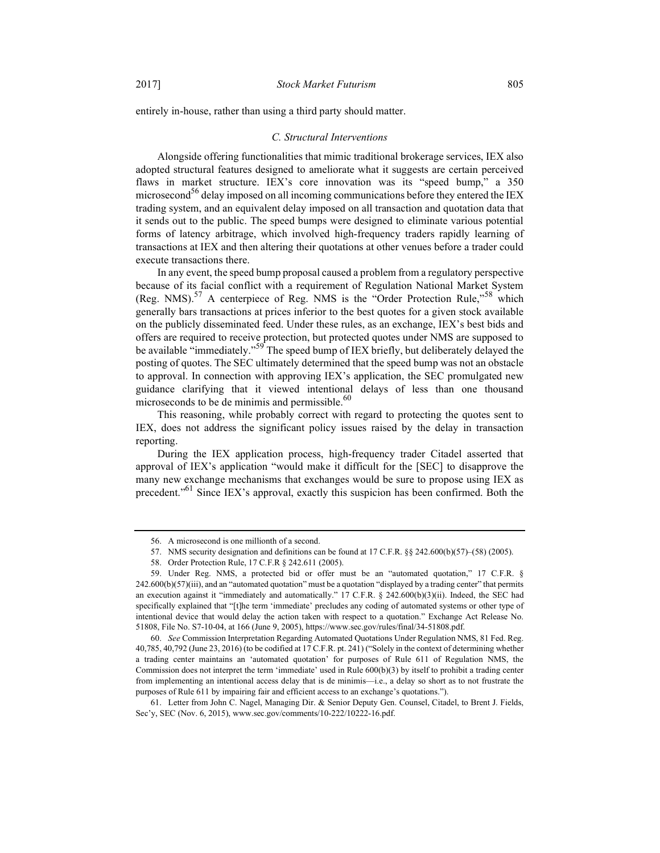entirely in-house, rather than using a third party should matter.

#### C. Structural Interventions

Alongside offering functionalities that mimic traditional brokerage services, IEX also adopted structural features designed to ameliorate what it suggests are certain perceived flaws in market structure. IEX's core innovation was its "speed bump," a 350 microsecond<sup>56</sup> delay imposed on all incoming communications before they entered the IEX trading system, and an equivalent delay imposed on all transaction and quotation data that it sends out to the public. The speed bumps were designed to eliminate various potential forms of latency arbitrage, which involved high-frequency traders rapidly learning of transactions at IEX and then altering their quotations at other venues before a trader could execute transactions there.

In any event, the speed bump proposal caused a problem from a regulatory perspective because of its facial conflict with a requirement of Regulation National Market System (Reg. NMS).<sup>57</sup> A centerpiece of Reg. NMS is the "Order Protection Rule,"<sup>58</sup> which generally bars transactions at prices inferior to the best quotes for a given stock available on the publicly disseminated feed. Under these rules, as an exchange, IEX's best bids and offers are required to receive protection, but protected quotes under NMS are supposed to be available "immediately."<sup>59</sup> The speed bump of IEX briefly, but deliberately delayed the posting of quotes. The SEC ultimately determined that the speed bump was not an obstacle to approval. In connection with approving IEX's application, the SEC promulgated new guidance clarifying that it viewed intentional delays of less than one thousand microseconds to be de minimis and permissible. $^{60}$ 

This reasoning, while probably correct with regard to protecting the quotes sent to IEX, does not address the significant policy issues raised by the delay in transaction reporting.

During the IEX application process, high-frequency trader Citadel asserted that approval of IEX's application "would make it difficult for the [SEC] to disapprove the many new exchange mechanisms that exchanges would be sure to propose using IEX as precedent."<sup>61</sup> Since IEX's approval, exactly this suspicion has been confirmed. Both the

 <sup>56.</sup> A microsecond is one millionth of a second.

 <sup>57.</sup> NMS security designation and definitions can be found at 17 C.F.R. §§ 242.600(b)(57)–(58) (2005).

 <sup>58.</sup> Order Protection Rule, 17 C.F.R § 242.611 (2005).

 <sup>59.</sup> Under Reg. NMS, a protected bid or offer must be an "automated quotation," 17 C.F.R. § 242.600(b)(57)(iii), and an "automated quotation" must be a quotation "displayed by a trading center" that permits an execution against it "immediately and automatically." 17 C.F.R. § 242.600(b)(3)(ii). Indeed, the SEC had specifically explained that "[t]he term 'immediate' precludes any coding of automated systems or other type of intentional device that would delay the action taken with respect to a quotation." Exchange Act Release No. 51808, File No. S7-10-04, at 166 (June 9, 2005), https://www.sec.gov/rules/final/34-51808.pdf.

 <sup>60.</sup> See Commission Interpretation Regarding Automated Quotations Under Regulation NMS, 81 Fed. Reg. 40,785, 40,792 (June 23, 2016) (to be codified at 17 C.F.R. pt. 241) ("Solely in the context of determining whether a trading center maintains an 'automated quotation' for purposes of Rule 611 of Regulation NMS, the Commission does not interpret the term 'immediate' used in Rule 600(b)(3) by itself to prohibit a trading center from implementing an intentional access delay that is de minimis—i.e., a delay so short as to not frustrate the purposes of Rule 611 by impairing fair and efficient access to an exchange's quotations.").

 <sup>61.</sup> Letter from John C. Nagel, Managing Dir. & Senior Deputy Gen. Counsel, Citadel, to Brent J. Fields, Sec'y, SEC (Nov. 6, 2015), www.sec.gov/comments/10-222/10222-16.pdf.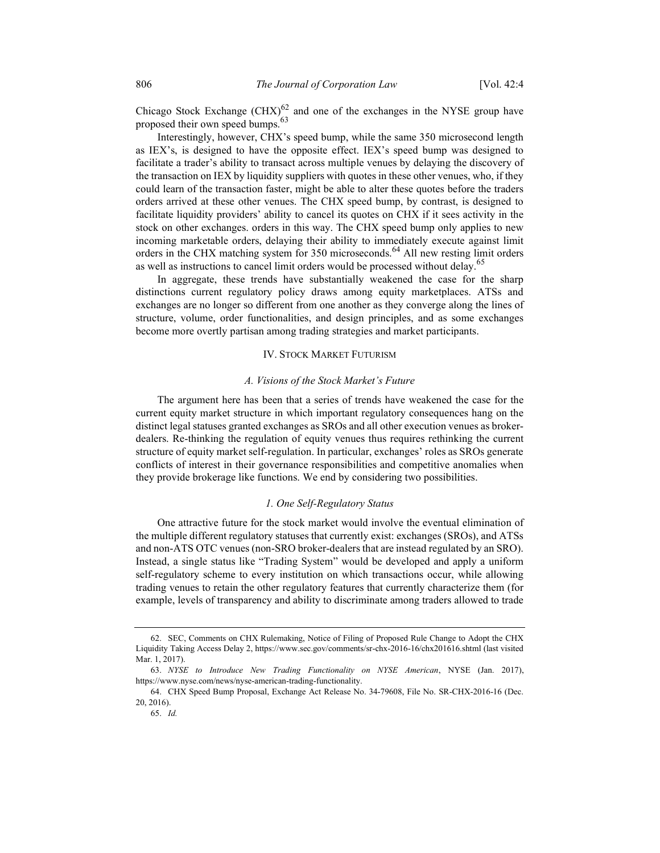Chicago Stock Exchange  $\text{(CHX)}^{62}$  and one of the exchanges in the NYSE group have proposed their own speed bumps.<sup>63</sup>

Interestingly, however, CHX's speed bump, while the same 350 microsecond length as IEX's, is designed to have the opposite effect. IEX's speed bump was designed to facilitate a trader's ability to transact across multiple venues by delaying the discovery of the transaction on IEX by liquidity suppliers with quotes in these other venues, who, if they could learn of the transaction faster, might be able to alter these quotes before the traders orders arrived at these other venues. The CHX speed bump, by contrast, is designed to facilitate liquidity providers' ability to cancel its quotes on CHX if it sees activity in the stock on other exchanges. orders in this way. The CHX speed bump only applies to new incoming marketable orders, delaying their ability to immediately execute against limit orders in the CHX matching system for 350 microseconds.<sup>64</sup> All new resting limit orders as well as instructions to cancel limit orders would be processed without delay.<sup>65</sup>

In aggregate, these trends have substantially weakened the case for the sharp distinctions current regulatory policy draws among equity marketplaces. ATSs and exchanges are no longer so different from one another as they converge along the lines of structure, volume, order functionalities, and design principles, and as some exchanges become more overtly partisan among trading strategies and market participants.

#### IV. STOCK MARKET FUTURISM

#### A. Visions of the Stock Market's Future

The argument here has been that a series of trends have weakened the case for the current equity market structure in which important regulatory consequences hang on the distinct legal statuses granted exchanges as SROs and all other execution venues as brokerdealers. Re-thinking the regulation of equity venues thus requires rethinking the current structure of equity market self-regulation. In particular, exchanges' roles as SROs generate conflicts of interest in their governance responsibilities and competitive anomalies when they provide brokerage like functions. We end by considering two possibilities.

#### 1. One Self-Regulatory Status

One attractive future for the stock market would involve the eventual elimination of the multiple different regulatory statuses that currently exist: exchanges (SROs), and ATSs and non-ATS OTC venues (non-SRO broker-dealers that are instead regulated by an SRO). Instead, a single status like "Trading System" would be developed and apply a uniform self-regulatory scheme to every institution on which transactions occur, while allowing trading venues to retain the other regulatory features that currently characterize them (for example, levels of transparency and ability to discriminate among traders allowed to trade

 <sup>62.</sup> SEC, Comments on CHX Rulemaking, Notice of Filing of Proposed Rule Change to Adopt the CHX Liquidity Taking Access Delay 2, https://www.sec.gov/comments/sr-chx-2016-16/chx201616.shtml (last visited Mar. 1, 2017).

 <sup>63.</sup> NYSE to Introduce New Trading Functionality on NYSE American, NYSE (Jan. 2017), https://www.nyse.com/news/nyse-american-trading-functionality.

 <sup>64.</sup> CHX Speed Bump Proposal, Exchange Act Release No. 34-79608, File No. SR-CHX-2016-16 (Dec. 20, 2016).

 <sup>65.</sup> Id.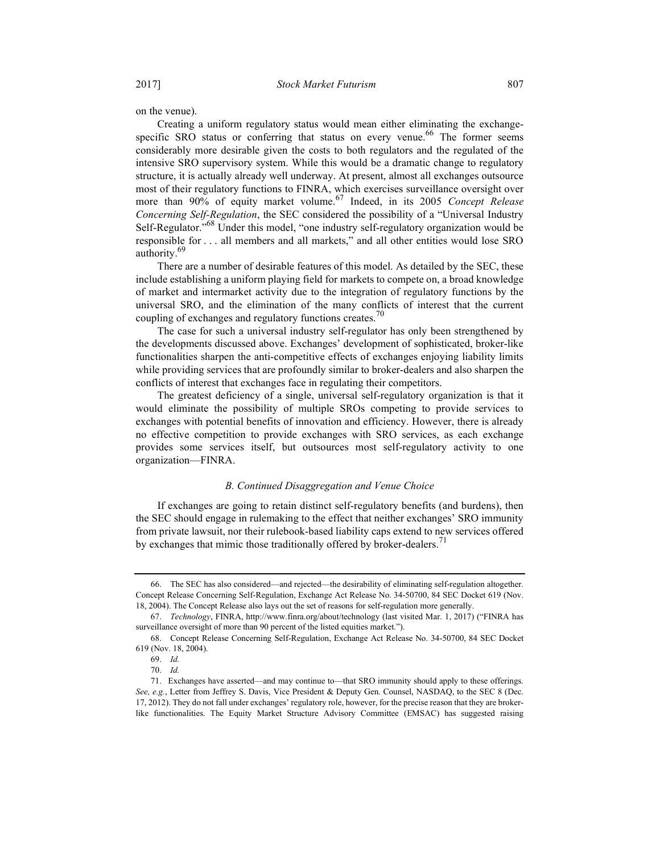on the venue).

Creating a uniform regulatory status would mean either eliminating the exchangespecific SRO status or conferring that status on every venue.<sup>66</sup> The former seems considerably more desirable given the costs to both regulators and the regulated of the intensive SRO supervisory system. While this would be a dramatic change to regulatory structure, it is actually already well underway. At present, almost all exchanges outsource most of their regulatory functions to FINRA, which exercises surveillance oversight over more than 90% of equity market volume.<sup>67</sup> Indeed, in its 2005 Concept Release Concerning Self-Regulation, the SEC considered the possibility of a "Universal Industry Self-Regulator."<sup>68</sup> Under this model, "one industry self-regulatory organization would be responsible for . . . all members and all markets," and all other entities would lose SRO authority.<sup>69</sup>

There are a number of desirable features of this model. As detailed by the SEC, these include establishing a uniform playing field for markets to compete on, a broad knowledge of market and intermarket activity due to the integration of regulatory functions by the universal SRO, and the elimination of the many conflicts of interest that the current coupling of exchanges and regulatory functions creates.<sup>70</sup>

The case for such a universal industry self-regulator has only been strengthened by the developments discussed above. Exchanges' development of sophisticated, broker-like functionalities sharpen the anti-competitive effects of exchanges enjoying liability limits while providing services that are profoundly similar to broker-dealers and also sharpen the conflicts of interest that exchanges face in regulating their competitors.

The greatest deficiency of a single, universal self-regulatory organization is that it would eliminate the possibility of multiple SROs competing to provide services to exchanges with potential benefits of innovation and efficiency. However, there is already no effective competition to provide exchanges with SRO services, as each exchange provides some services itself, but outsources most self-regulatory activity to one organization—FINRA.

### B. Continued Disaggregation and Venue Choice

If exchanges are going to retain distinct self-regulatory benefits (and burdens), then the SEC should engage in rulemaking to the effect that neither exchanges' SRO immunity from private lawsuit, nor their rulebook-based liability caps extend to new services offered by exchanges that mimic those traditionally offered by broker-dealers.<sup>71</sup>

 <sup>66.</sup> The SEC has also considered—and rejected—the desirability of eliminating self-regulation altogether. Concept Release Concerning Self-Regulation, Exchange Act Release No. 34-50700, 84 SEC Docket 619 (Nov. 18, 2004). The Concept Release also lays out the set of reasons for self-regulation more generally.

 <sup>67.</sup> Technology, FINRA, http://www.finra.org/about/technology (last visited Mar. 1, 2017) ("FINRA has surveillance oversight of more than 90 percent of the listed equities market.").

 <sup>68.</sup> Concept Release Concerning Self-Regulation, Exchange Act Release No. 34-50700, 84 SEC Docket 619 (Nov. 18, 2004).

 <sup>69.</sup> Id.

 <sup>70.</sup> Id.

 <sup>71.</sup> Exchanges have asserted—and may continue to—that SRO immunity should apply to these offerings. See, e.g., Letter from Jeffrey S. Davis, Vice President & Deputy Gen. Counsel, NASDAQ, to the SEC 8 (Dec. 17, 2012). They do not fall under exchanges' regulatory role, however, for the precise reason that they are brokerlike functionalities. The Equity Market Structure Advisory Committee (EMSAC) has suggested raising